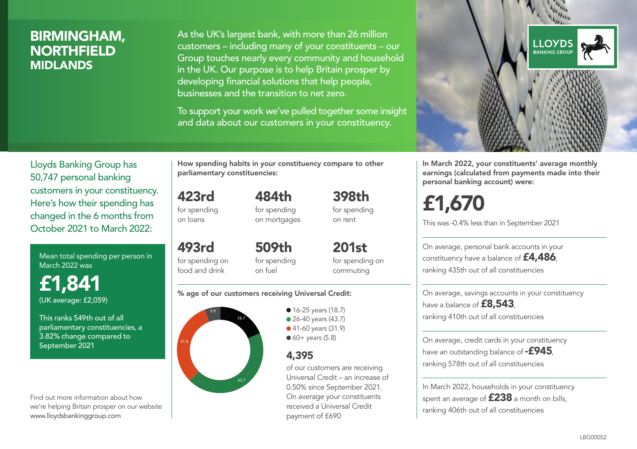### BIRMINGHAM, **NORTHFIELD** MIDLANDS

As the UK's largest bank, with more than 26 million customers – including many of your constituents – our Group touches nearly every community and household in the UK. Our purpose is to help Britain prosper by developing financial solutions that help people, businesses and the transition to net zero.

To support your work we've pulled together some insight and data about our customers in your constituency.



for spending on loans

493rd

Lloyds Banking Group has 50,747 personal banking customers in your constituency. Here's how their spending has changed in the 6 months from October 2021 to March 2022:

Mean total spending per person in March 2022 was

£1,841 (UK average: £2,059)

This ranks 549th out of all parliamentary constituencies, a 3.82% change compared to September 2021

Find out more information about how we're helping Britain prosper on our website www.lloydsbankinggroup.com

How spending habits in your constituency compare to other

for spending on mortgages

398th for spending on rent

for spending on food and drink 509th for spending on fuel

201st for spending on commuting

#### % age of our customers receiving Universal Credit:



• 16-25 years (18.7) • 26-40 years (43.7) ● 41-60 years (31.9)  $60+$  years (5.8)

### 4,395

of our customers are receiving Universal Credit – an increase of 0.50% since September 2021. On average your constituents received a Universal Credit payment of £690



In March 2022, your constituents' average monthly earnings (calculated from payments made into their personal banking account) were:

# £1,670

This was -0.4% less than in September 2021

On average, personal bank accounts in your constituency have a balance of £4,486, ranking 435th out of all constituencies

On average, savings accounts in your constituency have a balance of **£8,543**, ranking 410th out of all constituencies

On average, credit cards in your constituency have an outstanding balance of  $-$ £945. ranking 578th out of all constituencies

In March 2022, households in your constituency spent an average of **£238** a month on bills, ranking 406th out of all constituencies